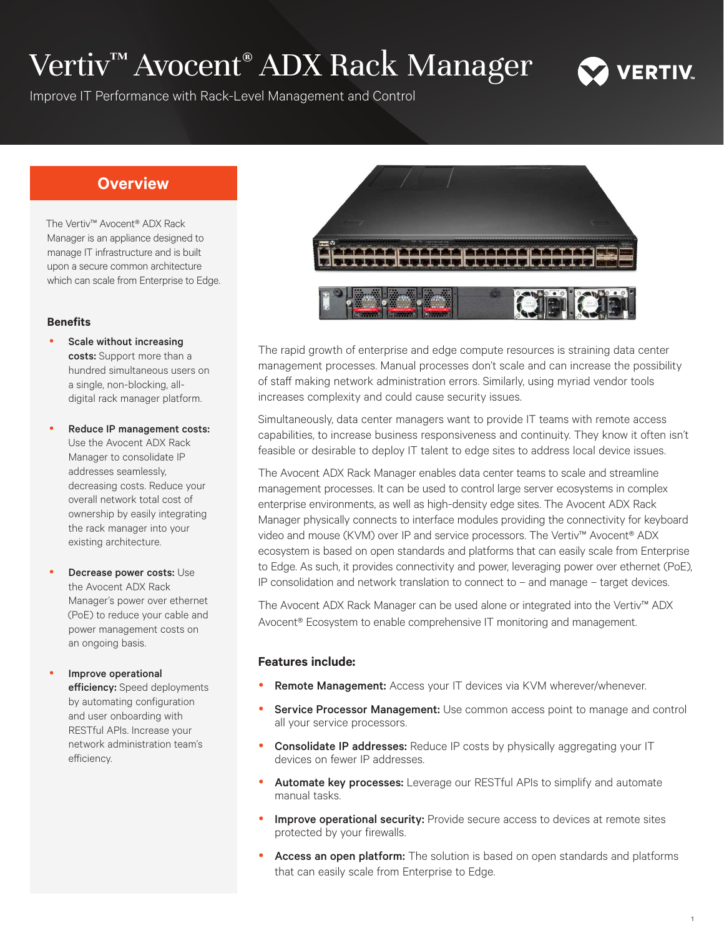# Vertiv™ Avocent® ADX Rack Manager



Improve IT Performance with Rack-Level Management and Control

## **Overview**

The Vertiv™ Avocent® ADX Rack Manager is an appliance designed to manage IT infrastructure and is built upon a secure common architecture which can scale from Enterprise to Edge.

### **Benefits**

- Scale without increasing costs: Support more than a hundred simultaneous users on a single, non-blocking, alldigital rack manager platform.
- Reduce IP management costs: Use the Avocent ADX Rack Manager to consolidate IP addresses seamlessly, decreasing costs. Reduce your overall network total cost of ownership by easily integrating the rack manager into your existing architecture.
- Decrease power costs: Use the Avocent ADX Rack Manager's power over ethernet (PoE) to reduce your cable and power management costs on an ongoing basis.
- Improve operational efficiency: Speed deployments by automating configuration and user onboarding with RESTful APIs. Increase your network administration team's efficiency.



The rapid growth of enterprise and edge compute resources is straining data center management processes. Manual processes don't scale and can increase the possibility of staff making network administration errors. Similarly, using myriad vendor tools increases complexity and could cause security issues.

Simultaneously, data center managers want to provide IT teams with remote access capabilities, to increase business responsiveness and continuity. They know it often isn't feasible or desirable to deploy IT talent to edge sites to address local device issues.

The Avocent ADX Rack Manager enables data center teams to scale and streamline management processes. It can be used to control large server ecosystems in complex enterprise environments, as well as high-density edge sites. The Avocent ADX Rack Manager physically connects to interface modules providing the connectivity for keyboard video and mouse (KVM) over IP and service processors. The Vertiv™ Avocent® ADX ecosystem is based on open standards and platforms that can easily scale from Enterprise to Edge. As such, it provides connectivity and power, leveraging power over ethernet (PoE), IP consolidation and network translation to connect to – and manage – target devices.

The Avocent ADX Rack Manager can be used alone or integrated into the Vertiv™ ADX Avocent® Ecosystem to enable comprehensive IT monitoring and management.

## **Features include:**

- Remote Management: Access your IT devices via KVM wherever/whenever.
- Service Processor Management: Use common access point to manage and control all your service processors.
- Consolidate IP addresses: Reduce IP costs by physically aggregating your IT devices on fewer IP addresses.
- Automate key processes: Leverage our RESTful APIs to simplify and automate manual tasks.
- Improve operational security: Provide secure access to devices at remote sites protected by your firewalls.
- Access an open platform: The solution is based on open standards and platforms that can easily scale from Enterprise to Edge.